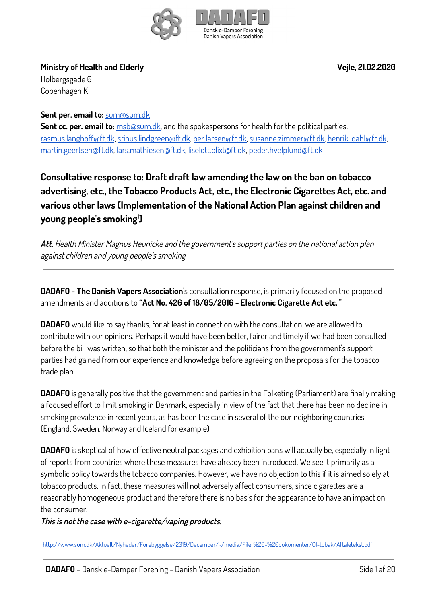



**Ministry of Health and Elderly Vejle, 21.02.2020**

Holbergsgade 6 Copenhagen K

**Sent per. email to:** [sum@sum.dk](mailto:sum@sum.dk)

**Sent cc. per. email to:** [msb@sum.dk](mailto:msb@sum.dk), and the spokespersons for health for the political parties: [rasmus.langhoff@ft.dk,](mailto:rasmus.langhoff@ft.dk) [stinus.lindgreen@ft.dk,](mailto:stinus.lindgreen@ft.dk) [per.larsen@ft.dk,](mailto:per.larsen@ft.dk) [susanne.zimmer@ft.dk](mailto:susanne.zimmer@ft.dk), henrik. [dahl@ft.dk,](mailto:henrik.dahl@ft.dk) [martin.geertsen@ft.dk](mailto:martin.geertsen@ft.dk), [lars.mathiesen@ft.dk](mailto:lars.mathiesen@ft.dk), [liselott.blixt@ft.dk](mailto:liselott.blixt@ft.dk), [peder.hvelplund@ft.dk](mailto:peder.hvelplund@ft.dk)

**Consultative response to: Draft draft law amending the law on the ban on tobacco advertising, etc., the Tobacco Products Act, etc., the Electronic Cigarettes Act, etc. and various other laws (Implementation of the National Action Plan against children and young people's smoking ) 1**

**Att.** Health Minister Magnus Heunicke and the government's support parties on the national action plan against children and young people's smoking

**DADAFO - The Danish Vapers Association**'s consultation response, is primarily focused on the proposed amendments and additions to **"Act No. 426 of 18/05/2016 - Electronic Cigarette Act etc. "**

**DADAFO** would like to say thanks, for at least in connection with the consultation, we are allowed to contribute with our opinions. Perhaps it would have been better, fairer and timely if we had been consulted before the bill was written, so that both the minister and the politicians from the government's support parties had gained from our experience and knowledge before agreeing on the proposals for the tobacco trade plan .

**DADAFO** is generally positive that the government and parties in the Folketing (Parliament) are finally making a focused effort to limit smoking in Denmark, especially in view of the fact that there has been no decline in smoking prevalence in recent years, as has been the case in several of the our neighboring countries (England, Sweden, Norway and Iceland for example)

**DADAFO** is skeptical of how effective neutral packages and exhibition bans will actually be, especially in light of reports from countries where these measures have already been introduced. We see it primarily as a symbolic policy towards the tobacco companies. However, we have no objection to this if it is aimed solely at tobacco products. In fact, these measures will not adversely affect consumers, since cigarettes are a reasonably homogeneous product and therefore there is no basis for the appearance to have an impact on the consumer.

**This is not the case with e-cigarette/vaping products.**

<sup>1</sup> <http://www.sum.dk/Aktuelt/Nyheder/Forebyggelse/2019/December/~/media/Filer%20-%20dokumenter/01-tobak/Aftaletekst.pdf>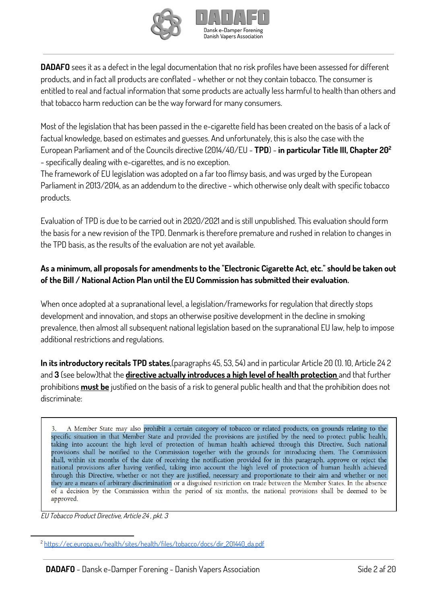

**DADAFO** sees it as a defect in the legal documentation that no risk profiles have been assessed for different products, and in fact all products are conflated - whether or not they contain tobacco. The consumer is entitled to real and factual information that some products are actually less harmful to health than others and that tobacco harm reduction can be the way forward for many consumers.

Most of the legislation that has been passed in the e-cigarette field has been created on the basis of a lack of factual knowledge, based on estimates and guesses. And unfortunately, this is also the case with the European Parliament and of the Councils directive (2014/40/EU - **TPD**) - **in particular Title III, Chapter 20 2** - specifically dealing with e-cigarettes, and is no exception.

The framework of EU legislation was adopted on a far too flimsy basis, and was urged by the European Parliament in 2013/2014, as an addendum to the directive - which otherwise only dealt with specific tobacco products.

Evaluation of TPD is due to be carried out in 2020/2021 and is still unpublished. This evaluation should form the basis for a new revision of the TPD. Denmark is therefore premature and rushed in relation to changes in the TPD basis, as the results of the evaluation are not yet available.

## **As a minimum, all proposals for amendments to the "Electronic Cigarette Act, etc." should be taken out of the Bill / National Action Plan until the EU Commission has submitted their evaluation.**

When once adopted at a supranational level, a legislation/frameworks for regulation that directly stops development and innovation, and stops an otherwise positive development in the decline in smoking prevalence, then almost all subsequent national legislation based on the supranational EU law, help to impose additional restrictions and regulations.

**In its introductory recitals TPD states**,(paragraphs 45, 53, 54) and in particular Article 20 (1). 10, Article 24 2 and **3** (see below)that the **directive actually introduces a high level of health protection** and that further prohibitions **must be** justified on the basis of a risk to general public health and that the prohibition does not discriminate:

A Member State may also prohibit a certain category of tobacco or related products, on grounds relating to the specific situation in that Member State and provided the provisions are justified by the need to protect public health, taking into account the high level of protection of human health achieved through this Directive. Such national provisions shall be notified to the Commission together with the grounds for introducing them. The Commission shall, within six months of the date of receiving the notification provided for in this paragraph, approve or reject the national provisions after having verified, taking into account the high level of protection of human health achieved through this Directive, whether or not they are justified, necessary and proportionate to their aim and whether or not they are a means of arbitrary discrimination or a disguised restriction on trade between the Member States. In the absence of a decision by the Commission within the period of six months, the national provisions shall be deemed to be approved.

EU Tobacco Product Directive, Article 24 , pkt. 3

<sup>2</sup> [https://ec.europa.eu/health/sites/health/files/tobacco/docs/dir\\_201440\\_da.pdf](https://ec.europa.eu/health/sites/health/files/tobacco/docs/dir_201440_da.pdf)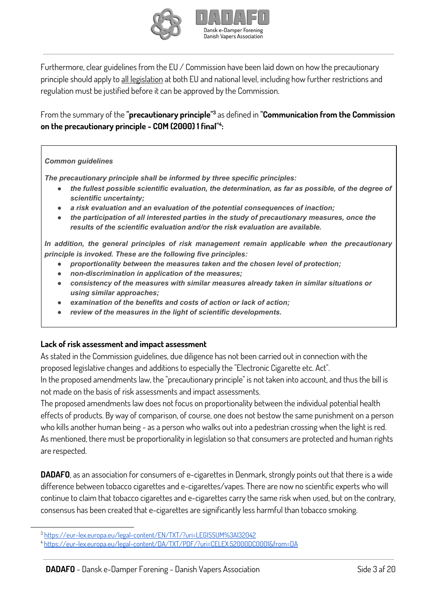



Furthermore, clear guidelines from the EU / Commission have been laid down on how the precautionary principle should apply to all legislation at both EU and national level, including how further restrictions and regulation must be justified before it can be approved by the Commission.

From the summary of the **"precautionary principle"** as defined in **"Communication from the Commission 3 on the precautionary principle - COM (2000) 1 final" : 4**

#### *Common guidelines*

*The precautionary principle shall be informed by three specific principles:*

- *● the fullest possible scientific evaluation, the determination, as far as possible, of the degree of scientific uncertainty;*
- *● a risk evaluation and an evaluation of the potential consequences of inaction;*
- *● the participation of all interested parties in the study of precautionary measures, once the results of the scientific evaluation and/or the risk evaluation are available.*

*In addition, the general principles of risk management remain applicable when the precautionary principle is invoked. These are the following five principles:*

- *● proportionality between the measures taken and the chosen level of protection;*
- *● non-discrimination in application of the measures;*
- *● consistency of the measures with similar measures already taken in similar situations or using similar approaches;*
- *● examination of the benefits and costs of action or lack of action;*
- *● review of the measures in the light of scientific developments.*

#### **Lack of risk assessment and impact assessment**

As stated in the Commission guidelines, due diligence has not been carried out in connection with the proposed legislative changes and additions to especially the "Electronic Cigarette etc. Act".

In the proposed amendments law, the "precautionary principle" is not taken into account, and thus the bill is not made on the basis of risk assessments and impact assessments.

The proposed amendments law does not focus on proportionality between the individual potential health effects of products. By way of comparison, of course, one does not bestow the same punishment on a person who kills another human being - as a person who walks out into a pedestrian crossing when the light is red. As mentioned, there must be proportionality in legislation so that consumers are protected and human rights are respected.

**DADAFO**, as an association for consumers of e-cigarettes in Denmark, strongly points out that there is a wide difference between tobacco cigarettes and e-cigarettes/vapes. There are now no scientific experts who will continue to claim that tobacco cigarettes and e-cigarettes carry the same risk when used, but on the contrary, consensus has been created that e-cigarettes are significantly less harmful than tobacco smoking.

<sup>3</sup> [https://eur-lex.europa.eu/legal-content/EN/TXT/?uri=LEGISSUM%3Al32042](https://eur-lex.europa.eu/legal-content/DA/TXT/?uri=LEGISSUM%3Al32042)

<sup>4</sup> <https://eur-lex.europa.eu/legal-content/DA/TXT/PDF/?uri=CELEX:52000DC0001&from=DA>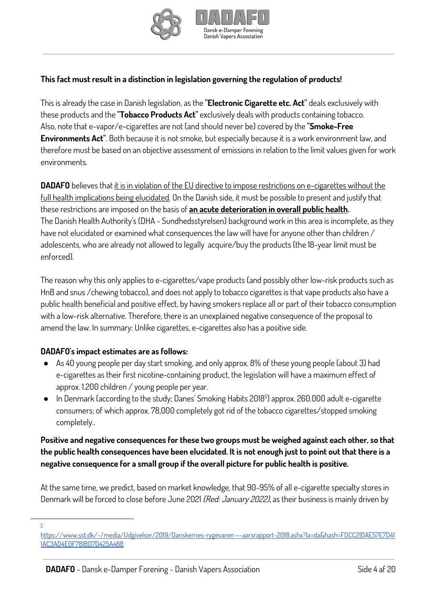



## **This fact must result in a distinction in legislation governing the regulation of products!**

This is already the case in Danish legislation, as the **"Electronic Cigarette etc. Act"** deals exclusively with these products and the **"Tobacco Products Act"** exclusively deals with products containing tobacco. Also, note that e-vapor/e-cigarettes are not (and should never be) covered by the **"Smoke-Free Environments Act"**. Both because it is not smoke, but especially because it is a work environment law, and therefore must be based on an objective assessment of emissions in relation to the limit values given for work environments.

**DADAFO** believes that it is in violation of the EU directive to impose restrictions on e-cigarettes without the full health implications being elucidated. On the Danish side, it must be possible to present and justify that these restrictions are imposed on the basis of **an acute deterioration in overall public health.** The Danish Health Authority's (DHA - Sundhedsstyrelsen) background work in this area is incomplete, as they have not elucidated or examined what consequences the law will have for anyone other than children / adolescents, who are already not allowed to legally acquire/buy the products (the 18-year limit must be enforced).

The reason why this only applies to e-cigarettes/vape products (and possibly other low-risk products such as HnB and snus /chewing tobacco), and does not apply to tobacco cigarettes is that vape products also have a public health beneficial and positive effect, by having smokers replace all or part of their tobacco consumption with a low-risk alternative. Therefore, there is an unexplained negative consequence of the proposal to amend the law. In summary: Unlike cigarettes, e-cigarettes also has a positive side.

#### **DADAFO's impact estimates are as follows:**

- As 40 young people per day start smoking, and only approx. 8% of these young people (about 3) had e-cigarettes as their first nicotine-containing product, the legislation will have a maximum effect of approx. 1.200 children / young people per year.
- In Denmark (according to the study; Danes' Smoking Habits 2018<sup>5</sup>) approx. 260.000 adult e-cigarette consumers; of which approx. 78,000 completely got rid of the tobacco cigarettes/stopped smoking completely..

#### **Positive and negative consequences for these two groups must be weighed against each other, so that** the public health consequences have been elucidated. It is not enough just to point out that there is a **negative consequence for a small group if the overall picture for public health is positive.**

At the same time, we predict, based on market knowledge, that 90-95% of all e-cigarette specialty stores in Denmark will be forced to close before June 2021 (Red: January 2022), as their business is mainly driven by

5

[https://www.sst.dk/-/media/Udgivelser/2019/Danskernes-rygevaner---aarsrapport-2018.ashx?la=da&hash=FDCC21DAE57E7D41](https://www.sst.dk/-/media/Udgivelser/2019/Danskernes-rygevaner---aarsrapport-2018.ashx?la=da&hash=FDCC21DAE57E7D411AC3AD4E0F781BD7D425A488) [1AC3AD4E0F781BD7D425A488](https://www.sst.dk/-/media/Udgivelser/2019/Danskernes-rygevaner---aarsrapport-2018.ashx?la=da&hash=FDCC21DAE57E7D411AC3AD4E0F781BD7D425A488)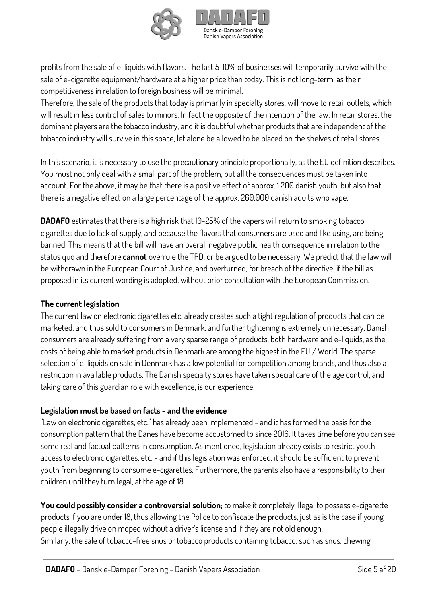

profits from the sale of e-liquids with flavors. The last 5-10% of businesses will temporarily survive with the sale of e-cigarette equipment/hardware at a higher price than today. This is not long-term, as their competitiveness in relation to foreign business will be minimal.

Therefore, the sale of the products that today is primarily in specialty stores, will move to retail outlets, which will result in less control of sales to minors. In fact the opposite of the intention of the law. In retail stores, the dominant players are the tobacco industry, and it is doubtful whether products that are independent of the tobacco industry will survive in this space, let alone be allowed to be placed on the shelves of retail stores.

In this scenario, it is necessary to use the precautionary principle proportionally, as the EU definition describes. You must not only deal with a small part of the problem, but all the consequences must be taken into account. For the above, it may be that there is a positive effect of approx. 1.200 danish youth, but also that there is a negative effect on a large percentage of the approx. 260.000 danish adults who vape.

**DADAFO** estimates that there is a high risk that 10-25% of the vapers will return to smoking tobacco cigarettes due to lack of supply, and because the flavors that consumers are used and like using, are being banned. This means that the bill will have an overall negative public health consequence in relation to the status quo and therefore **cannot** overrule the TPD, or be argued to be necessary. We predict that the law will be withdrawn in the European Court of Justice, and overturned, for breach of the directive, if the bill as proposed in its current wording is adopted, without prior consultation with the European Commission.

#### **The current legislation**

The current law on electronic cigarettes etc. already creates such a tight regulation of products that can be marketed, and thus sold to consumers in Denmark, and further tightening is extremely unnecessary. Danish consumers are already suffering from a very sparse range of products, both hardware and e-liquids, as the costs of being able to market products in Denmark are among the highest in the EU / World. The sparse selection of e-liquids on sale in Denmark has a low potential for competition among brands, and thus also a restriction in available products. The Danish specialty stores have taken special care of the age control, and taking care of this guardian role with excellence, is our experience.

#### **Legislation must be based on facts - and the evidence**

"Law on electronic cigarettes, etc." has already been implemented - and it has formed the basis for the consumption pattern that the Danes have become accustomed to since 2016. It takes time before you can see some real and factual patterns in consumption. As mentioned, legislation already exists to restrict youth access to electronic cigarettes, etc. - and if this legislation was enforced, it should be sufficient to prevent youth from beginning to consume e-cigarettes. Furthermore, the parents also have a responsibility to their children until they turn legal, at the age of 18.

**You could possibly consider a controversial solution;** to make it completely illegal to possess e-cigarette products if you are under 18, thus allowing the Police to confiscate the products, just as is the case if young people illegally drive on moped without a driver's license and if they are not old enough. Similarly, the sale of tobacco-free snus or tobacco products containing tobacco, such as snus, chewing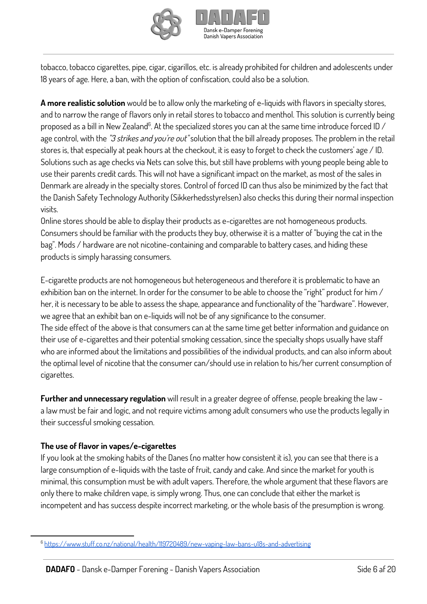



tobacco, tobacco cigarettes, pipe, cigar, cigarillos, etc. is already prohibited for children and adolescents under 18 years of age. Here, a ban, with the option of confiscation, could also be a solution.

**A more realistic solution** would be to allow only the marketing of e-liquids with flavors in specialty stores, and to narrow the range of flavors only in retail stores to tobacco and menthol. This solution is currently being proposed as a bill in New Zealand $^6$ . At the specialized stores you can at the same time introduce forced ID / age control, with the "3 strikes and you're out" solution that the bill already proposes. The problem in the retail stores is, that especially at peak hours at the checkout, it is easy to forget to check the customers' age / ID. Solutions such as age checks via Nets can solve this, but still have problems with young people being able to use their parents credit cards. This will not have a significant impact on the market, as most of the sales in Denmark are already in the specialty stores. Control of forced ID can thus also be minimized by the fact that the Danish Safety Technology Authority (Sikkerhedsstyrelsen) also checks this during their normal inspection visits.

Online stores should be able to display their products as e-cigarettes are not homogeneous products. Consumers should be familiar with the products they buy, otherwise it is a matter of "buying the cat in the bag". Mods / hardware are not nicotine-containing and comparable to battery cases, and hiding these products is simply harassing consumers.

E-cigarette products are not homogeneous but heterogeneous and therefore it is problematic to have an exhibition ban on the internet. In order for the consumer to be able to choose the "right" product for him / her, it is necessary to be able to assess the shape, appearance and functionality of the "hardware". However, we agree that an exhibit ban on e-liquids will not be of any significance to the consumer. The side effect of the above is that consumers can at the same time get better information and guidance on their use of e-cigarettes and their potential smoking cessation, since the specialty shops usually have staff who are informed about the limitations and possibilities of the individual products, and can also inform about the optimal level of nicotine that the consumer can/should use in relation to his/her current consumption of cigarettes.

**Further and unnecessary regulation** will result in a greater degree of offense, people breaking the law a law must be fair and logic, and not require victims among adult consumers who use the products legally in their successful smoking cessation.

#### **The use of flavor in vapes/e-cigarettes**

If you look at the smoking habits of the Danes (no matter how consistent it is), you can see that there is a large consumption of e-liquids with the taste of fruit, candy and cake. And since the market for youth is minimal, this consumption must be with adult vapers. Therefore, the whole argument that these flavors are only there to make children vape, is simply wrong. Thus, one can conclude that either the market is incompetent and has success despite incorrect marketing, or the whole basis of the presumption is wrong.

<sup>6</sup> <https://www.stuff.co.nz/national/health/119720489/new-vaping-law-bans-u18s-and-advertising>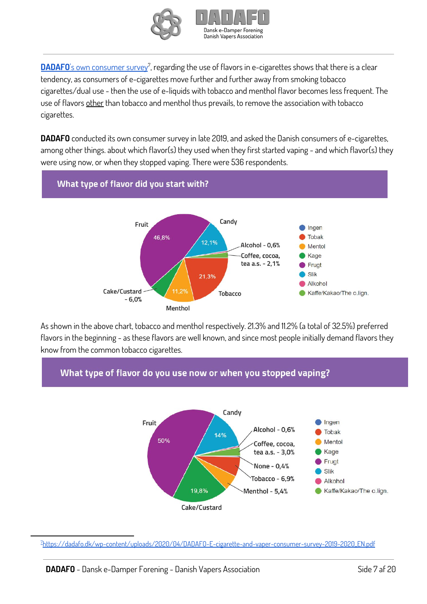



[DADAFO](https://dadafo.dk/wp-content/uploads/2020/04/DADAFO-E-cigarette-and-vaper-consumer-survey-2019-2020_EN.pdf)'s own [consumer](https://dadafo.dk/wp-content/uploads/2020/04/DADAFO-E-cigarette-and-vaper-consumer-survey-2019-2020_EN.pdf) survey<sup>7</sup>, regarding the use of flavors in e-cigarettes shows that there is a clear tendency, as consumers of e-cigarettes move further and further away from smoking tobacco cigarettes/dual use - then the use of e-liquids with tobacco and menthol flavor becomes less frequent. The use of flavors other than tobacco and menthol thus prevails, to remove the association with tobacco cigarettes.

**DADAFO** conducted its own consumer survey in late 2019, and asked the Danish consumers of e-cigarettes, among other things. about which flavor(s) they used when they first started vaping - and which flavor(s) they were using now, or when they stopped vaping. There were 536 respondents.



As shown in the above chart, tobacco and menthol respectively. 21.3% and 11.2% (a total of 32.5%) preferred flavors in the beginning - as these flavors are well known, and since most people initially demand flavors they know from the common tobacco cigarettes.

## What type of flavor do you use now or when you stopped vaping?



<sup>7</sup>[https://dadafo.dk/wp-content/uploads/2020/04/DADAFO-E-cigarette-and-vaper-consumer-survey-2019-2020\\_EN.pdf](https://dadafo.dk/wp-content/uploads/2020/04/DADAFO-E-cigarette-and-vaper-consumer-survey-2019-2020_EN.pdf)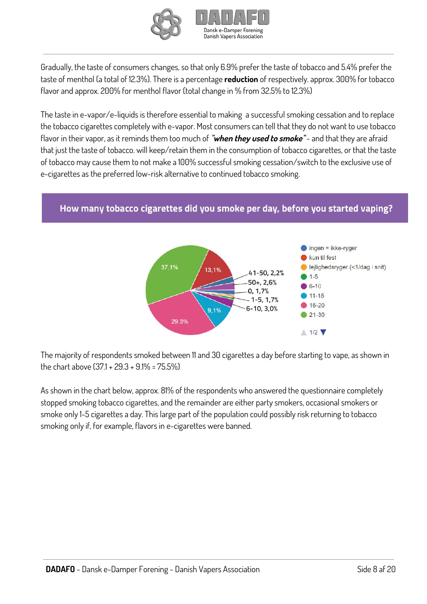



Gradually, the taste of consumers changes, so that only 6.9% prefer the taste of tobacco and 5.4% prefer the taste of menthol (a total of 12.3%). There is a percentage **reduction** of respectively. approx. 300% for tobacco flavor and approx. 200% for menthol flavor (total change in % from 32.5% to 12.3%)

The taste in e-vapor/e-liquids is therefore essential to making a successful smoking cessation and to replace the tobacco cigarettes completely with e-vapor. Most consumers can tell that they do not want to use tobacco flavor in their vapor, as it reminds them too much of **"when they used to smoke"** - and that they are afraid that just the taste of tobacco. will keep/retain them in the consumption of tobacco cigarettes, or that the taste of tobacco may cause them to not make a 100% successful smoking cessation/switch to the exclusive use of e-cigarettes as the preferred low-risk alternative to continued tobacco smoking.

#### How many tobacco cigarettes did you smoke per day, before you started vaping?



The majority of respondents smoked between 11 and 30 cigarettes a day before starting to vape, as shown in the chart above (37.1 + 29.3 + 9.1% = 75.5%)

As shown in the chart below, approx. 81% of the respondents who answered the questionnaire completely stopped smoking tobacco cigarettes, and the remainder are either party smokers, occasional smokers or smoke only 1-5 cigarettes a day. This large part of the population could possibly risk returning to tobacco smoking only if, for example, flavors in e-cigarettes were banned.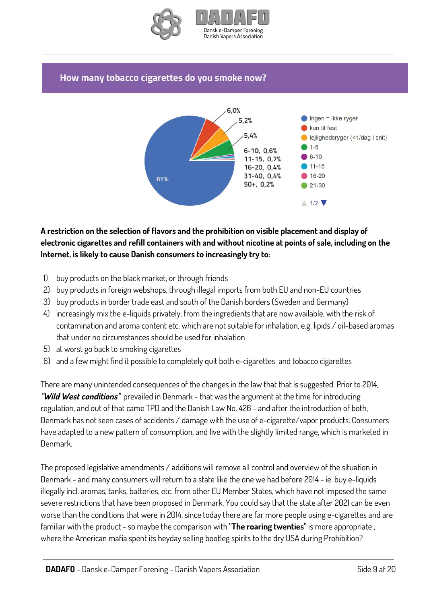

#### How many tobacco cigarettes do you smoke now?



## **A restriction on the selection of flavors and the prohibition on visible placement and display of electronic cigarettes and refill containers with and without nicotine at points of sale, including on the Internet, is likely to cause Danish consumers to increasingly try to:**

- 1) buy products on the black market, or through friends
- 2) buy products in foreign webshops, through illegal imports from both EU and non-EU countries
- 3) buy products in border trade east and south of the Danish borders (Sweden and Germany)
- 4) increasingly mix the e-liquids privately, from the ingredients that are now available, with the risk of contamination and aroma content etc. which are not suitable for inhalation, e.g. lipids / oil-based aromas that under no circumstances should be used for inhalation
- 5) at worst go back to smoking cigarettes
- 6) and a few might find it possible to completely quit both e-cigarettes and tobacco cigarettes

There are many unintended consequences of the changes in the law that that is suggested. Prior to 2014, **"Wild West conditions"** prevailed in Denmark - that was the argument at the time for introducing regulation, and out of that came TPD and the Danish Law No. 426 - and after the introduction of both, Denmark has not seen cases of accidents / damage with the use of e-cigarette/vapor products. Consumers have adapted to a new pattern of consumption, and live with the slightly limited range, which is marketed in Denmark.

The proposed legislative amendments / additions will remove all control and overview of the situation in Denmark - and many consumers will return to a state like the one we had before 2014 - ie. buy e-liquids illegally incl. aromas, tanks, batteries, etc. from other EU Member States, which have not imposed the same severe restrictions that have been proposed in Denmark. You could say that the state after 2021 can be even worse than the conditions that were in 2014, since today there are far more people using e-cigarettes and are familiar with the product - so maybe the comparison with **"The roaring twenties"** is more appropriate , where the American mafia spent its heyday selling bootleg spirits to the dry USA during Prohibition?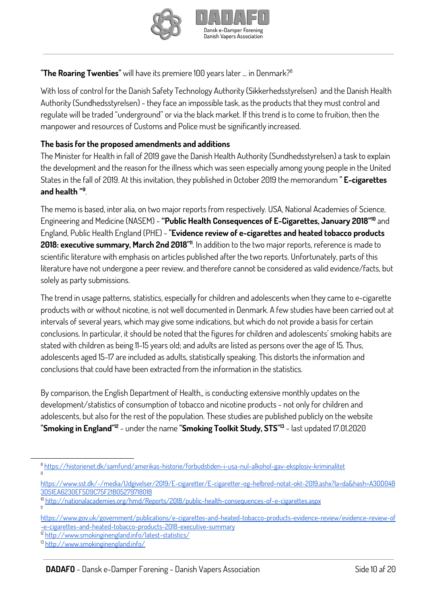



### **"The Roaring Twenties"** will have its premiere 100 years later ... in Denmark? 8

With loss of control for the Danish Safety Technology Authority (Sikkerhedsstyrelsen) and the Danish Health Authority (Sundhedsstyrelsen) - they face an impossible task, as the products that they must control and regulate will be traded "underground" or via the black market. If this trend is to come to fruition, then the manpower and resources of Customs and Police must be significantly increased.

#### **The basis for the proposed amendments and additions**

The Minister for Health in fall of 2019 gave the Danish Health Authority (Sundhedsstyrelsen) a task to explain the development and the reason for the illness which was seen especially among young people in the United States in the fall of 2019. At this invitation, they published in October 2019 the memorandum **" E-cigarettes and health "** . **9**

The memo is based, inter alia, on two major reports from respectively. USA, National Academies of Science, Engineering and Medicine (NASEM) - **"Public Health Consequences of E-Cigarettes, January 2018"** and **10** England, Public Health England (PHE) - **"Evidence review of e-cigarettes and heated tobacco products 2018: executive summary, March 2nd 2018"** . In addition to the two major reports, reference is made to **11** scientific literature with emphasis on articles published after the two reports. Unfortunately, parts of this literature have not undergone a peer review, and therefore cannot be considered as valid evidence/facts, but solely as party submissions.

The trend in usage patterns, statistics, especially for children and adolescents when they came to e-cigarette products with or without nicotine, is not well documented in Denmark. A few studies have been carried out at intervals of several years, which may give some indications, but which do not provide a basis for certain conclusions. In particular, it should be noted that the figures for children and adolescents' smoking habits are stated with children as being 11-15 years old; and adults are listed as persons over the age of 15. Thus, adolescents aged 15-17 are included as adults, statistically speaking. This distorts the information and conclusions that could have been extracted from the information in the statistics.

By comparison, the English Department of Health,, is conducting extensive monthly updates on the development/statistics of consumption of tobacco and nicotine products - not only for children and adolescents, but also for the rest of the population. These studies are published publicly on the website **"Smoking in England"** - under the name **"Smoking Toolkit Study, STS"** - last updated 17.01.2020 **12 13**

- [https://www.sst.dk/-/media/Udgivelser/2019/E-cigaretter/E-cigaretter-og-helbred-notat-okt-2019.ashx?la=da&hash=A30D04B](https://www.sst.dk/-/media/Udgivelser/2019/E-cigaretter/E-cigaretter-og-helbred-notat-okt-2019.ashx?la=da&hash=A30D04B3D51EA6230EF5D9C75F21B0527971801B) [3D51EA6230EF5D9C75F21B0527971801B](https://www.sst.dk/-/media/Udgivelser/2019/E-cigaretter/E-cigaretter-og-helbred-notat-okt-2019.ashx?la=da&hash=A30D04B3D51EA6230EF5D9C75F21B0527971801B)
- 10 <http://nationalacademies.org/hmd/Reports/2018/public-health-consequences-of-e-cigarettes.aspx>
- [https://www.gov.uk/government/publications/e-cigarettes-and-heated-tobacco-products-evidence-review/evidence-review-of](https://www.gov.uk/government/publications/e-cigarettes-and-heated-tobacco-products-evidence-review/evidence-review-of-e-cigarettes-and-heated-tobacco-products-2018-executive-summary) [-e-cigarettes-and-heated-tobacco-products-2018-executive-summary](https://www.gov.uk/government/publications/e-cigarettes-and-heated-tobacco-products-evidence-review/evidence-review-of-e-cigarettes-and-heated-tobacco-products-2018-executive-summary)

<sup>12</sup> <http://www.smokinginengland.info/latest-statistics/>

11

<sup>8</sup> <https://historienet.dk/samfund/amerikas-historie/forbudstiden-i-usa-nul-alkohol-gav-eksplosiv-kriminalitet> 9

<sup>13</sup> <http://www.smokinginengland.info/>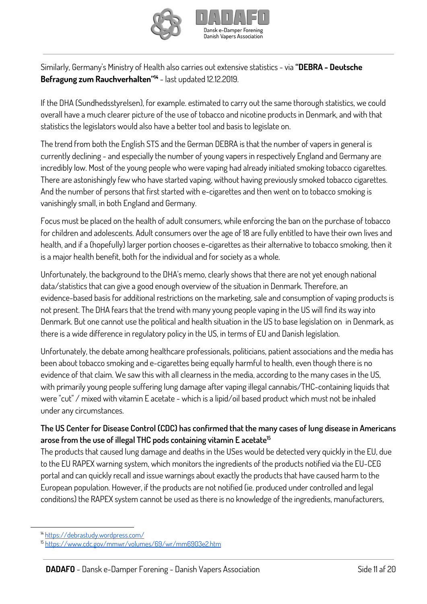



Similarly, Germany's Ministry of Health also carries out extensive statistics - via **"DEBRA - Deutsche Befragung zum Rauchverhalten"** - last updated 12.12.2019. **14**

If the DHA (Sundhedsstyrelsen), for example. estimated to carry out the same thorough statistics, we could overall have a much clearer picture of the use of tobacco and nicotine products in Denmark, and with that statistics the legislators would also have a better tool and basis to legislate on.

The trend from both the English STS and the German DEBRA is that the number of vapers in general is currently declining - and especially the number of young vapers in respectively England and Germany are incredibly low. Most of the young people who were vaping had already initiated smoking tobacco cigarettes. There are astonishingly few who have started vaping, without having previously smoked tobacco cigarettes. And the number of persons that first started with e-cigarettes and then went on to tobacco smoking is vanishingly small, in both England and Germany.

Focus must be placed on the health of adult consumers, while enforcing the ban on the purchase of tobacco for children and adolescents. Adult consumers over the age of 18 are fully entitled to have their own lives and health, and if a (hopefully) larger portion chooses e-cigarettes as their alternative to tobacco smoking, then it is a major health benefit, both for the individual and for society as a whole.

Unfortunately, the background to the DHA's memo, clearly shows that there are not yet enough national data/statistics that can give a good enough overview of the situation in Denmark. Therefore, an evidence-based basis for additional restrictions on the marketing, sale and consumption of vaping products is not present. The DHA fears that the trend with many young people vaping in the US will find its way into Denmark. But one cannot use the political and health situation in the US to base legislation on in Denmark, as there is a wide difference in regulatory policy in the US, in terms of EU and Danish legislation.

Unfortunately, the debate among healthcare professionals, politicians, patient associations and the media has been about tobacco smoking and e-cigarettes being equally harmful to health, even though there is no evidence of that claim. We saw this with all clearness in the media, according to the many cases in the US, with primarily young people suffering lung damage after vaping illegal cannabis/THC-containing liquids that were "cut" / mixed with vitamin E acetate - which is a lipid/oil based product which must not be inhaled under any circumstances.

## The US Center for Disease Control (CDC) has confirmed that the many cases of lung disease in Americans **arose from the use of illegal THC pods containing vitamin E acetate 15**

The products that caused lung damage and deaths in the USes would be detected very quickly in the EU, due to the EU RAPEX warning system, which monitors the ingredients of the products notified via the EU-CEG portal and can quickly recall and issue warnings about exactly the products that have caused harm to the European population. However, if the products are not notified (ie. produced under controlled and legal conditions) the RAPEX system cannot be used as there is no knowledge of the ingredients, manufacturers,

<sup>14</sup> <https://debrastudy.wordpress.com/>

<sup>15</sup> <https://www.cdc.gov/mmwr/volumes/69/wr/mm6903e2.htm>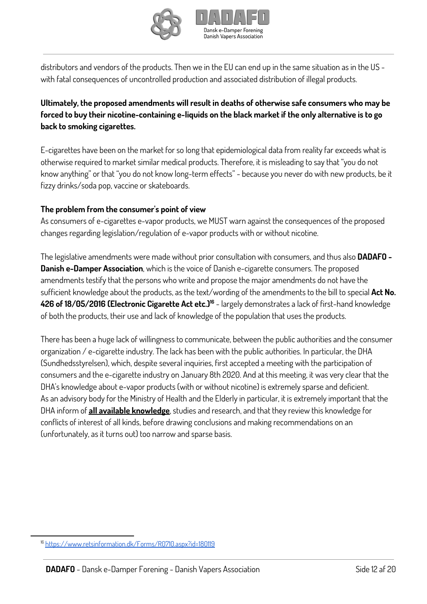



distributors and vendors of the products. Then we in the EU can end up in the same situation as in the US with fatal consequences of uncontrolled production and associated distribution of illegal products.

## **Ultimately, the proposed amendments will result in deaths of otherwise safe consumers who may be forced to buy their nicotine-containing e-liquids on the black market if the only alternative is to go back to smoking cigarettes.**

E-cigarettes have been on the market for so long that epidemiological data from reality far exceeds what is otherwise required to market similar medical products. Therefore, it is misleading to say that "you do not know anything" or that "you do not know long-term effects" - because you never do with new products, be it fizzy drinks/soda pop, vaccine or skateboards.

#### **The problem from the consumer's point of view**

As consumers of e-cigarettes e-vapor products, we MUST warn against the consequences of the proposed changes regarding legislation/regulation of e-vapor products with or without nicotine.

The legislative amendments were made without prior consultation with consumers, and thus also **DADAFO - Danish e-Damper Association**, which is the voice of Danish e-cigarette consumers. The proposed amendments testify that the persons who write and propose the major amendments do not have the sufficient knowledge about the products, as the text/wording of the amendments to the bill to special **Act No. 426 of 18/05/2016 (Electronic Cigarette Act etc.)** - largely demonstrates a lack of first-hand knowledge **16** of both the products, their use and lack of knowledge of the population that uses the products.

There has been a huge lack of willingness to communicate, between the public authorities and the consumer organization / e-cigarette industry. The lack has been with the public authorities. In particular, the DHA (Sundhedsstyrelsen), which, despite several inquiries, first accepted a meeting with the participation of consumers and the e-cigarette industry on January 8th 2020. And at this meeting, it was very clear that the DHA's knowledge about e-vapor products (with or without nicotine) is extremely sparse and deficient. As an advisory body for the Ministry of Health and the Elderly in particular, it is extremely important that the DHA inform of **all available knowledge**, studies and research, and that they review this knowledge for conflicts of interest of all kinds, before drawing conclusions and making recommendations on an (unfortunately, as it turns out) too narrow and sparse basis.

<sup>16</sup> <https://www.retsinformation.dk/Forms/R0710.aspx?id=180119>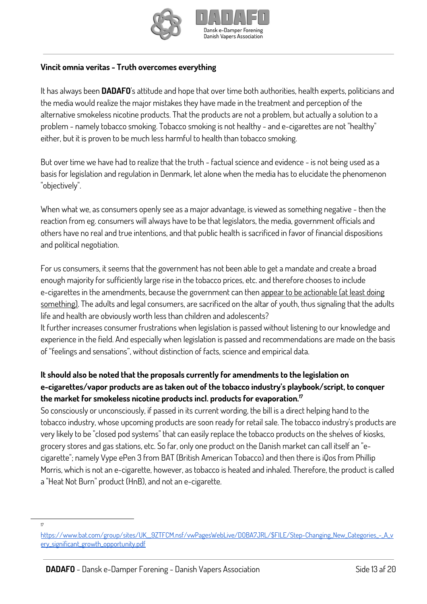



#### **Vincit omnia veritas - Truth overcomes everything**

It has always been **DADAFO**'s attitude and hope that over time both authorities, health experts, politicians and the media would realize the major mistakes they have made in the treatment and perception of the alternative smokeless nicotine products. That the products are not a problem, but actually a solution to a problem - namely tobacco smoking. Tobacco smoking is not healthy - and e-cigarettes are not "healthy" either, but it is proven to be much less harmful to health than tobacco smoking.

But over time we have had to realize that the truth - factual science and evidence - is not being used as a basis for legislation and regulation in Denmark, let alone when the media has to elucidate the phenomenon "objectively".

When what we, as consumers openly see as a major advantage, is viewed as something negative - then the reaction from eg. consumers will always have to be that legislators, the media, government officials and others have no real and true intentions, and that public health is sacrificed in favor of financial dispositions and political negotiation.

For us consumers, it seems that the government has not been able to get a mandate and create a broad enough majority for sufficiently large rise in the tobacco prices, etc. and therefore chooses to include e-cigarettes in the amendments, because the government can then appear to be actionable (at least doing something). The adults and legal consumers, are sacrificed on the altar of youth, thus signaling that the adults life and health are obviously worth less than children and adolescents?

It further increases consumer frustrations when legislation is passed without listening to our knowledge and experience in the field. And especially when legislation is passed and recommendations are made on the basis of "feelings and sensations", without distinction of facts, science and empirical data.

## **It should also be noted that the proposals currently for amendments to the legislation on e-cigarettes/vapor products are as taken out of the tobacco industry's playbook/script, to conquer the market for smokeless nicotine products incl. products for evaporation. 17**

So consciously or unconsciously, if passed in its current wording, the bill is a direct helping hand to the tobacco industry, whose upcoming products are soon ready for retail sale. The tobacco industry's products are very likely to be "closed pod systems" that can easily replace the tobacco products on the shelves of kiosks, grocery stores and gas stations, etc. So far, only one product on the Danish market can call itself an "ecigarette"; namely Vype ePen 3 from BAT (British American Tobacco) and then there is iQos from Phillip Morris, which is not an e-cigarette, however, as tobacco is heated and inhaled. Therefore, the product is called a "Heat Not Burn" product (HnB), and not an e-cigarette.

17

[https://www.bat.com/group/sites/UK\\_\\_9ZTFCM.nsf/vwPagesWebLive/DOBA7JRL/\\$FILE/Step-Changing\\_New\\_Categories\\_-\\_A\\_v](https://www.bat.com/group/sites/UK__9ZTFCM.nsf/vwPagesWebLive/DOBA7JRL/$FILE/Step-Changing_New_Categories_-_A_very_significant_growth_opportunity.pdf) [ery\\_significant\\_growth\\_opportunity.pdf](https://www.bat.com/group/sites/UK__9ZTFCM.nsf/vwPagesWebLive/DOBA7JRL/$FILE/Step-Changing_New_Categories_-_A_very_significant_growth_opportunity.pdf)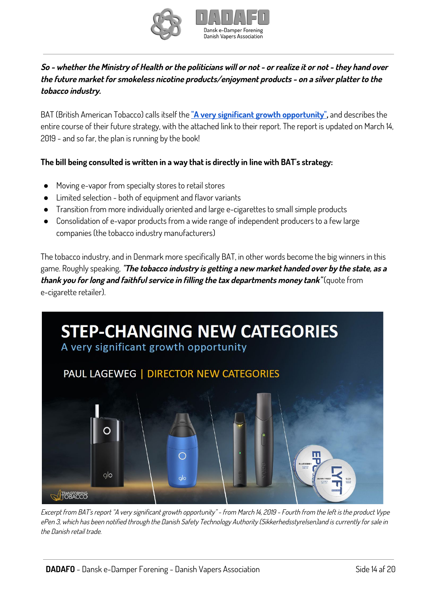

## So - whether the Ministry of Health or the politicians will or not - or realize it or not - they hand over **the future market for smokeless nicotine products/enjoyment products - on <sup>a</sup> silver platter to the tobacco industry.**

BAT (British American Tobacco) calls itself the **"A very significant growth [opportunity"](https://www.bat.com/group/sites/UK__9ZTFCM.nsf/vwPagesWebLive/DOBA7JRL/$FILE/Step-Changing_New_Categories_-_A_very_significant_growth_opportunity.pdf),** and describes the entire course of their future strategy, with the attached link to their report. The report is updated on March 14, 2019 - and so far, the plan is running by the book!

## **The bill being consulted is written in a way that is directly in line with BAT's strategy:**

- Moving e-vapor from specialty stores to retail stores
- Limited selection both of equipment and flavor variants
- Transition from more individually oriented and large e-cigarettes to small simple products
- Consolidation of e-vapor products from a wide range of independent producers to a few large companies (the tobacco industry manufacturers)

The tobacco industry, and in Denmark more specifically BAT, in other words become the big winners in this game. Roughly speaking, **"The tobacco industry is getting <sup>a</sup> new market handed over by the state, as <sup>a</sup> thank you for long and faithful service in filling the tax departments money tank"** (quote from e-cigarette retailer).



Excerpt from BAT's report "A very significant growth opportunity" - from March 14, 2019 - Fourth from the left is the product Vype ePen 3, which has been notified through the Danish Safety Technology Authority (Sikkerhedsstyrelsen)and is currently for sale in the Danish retail trade.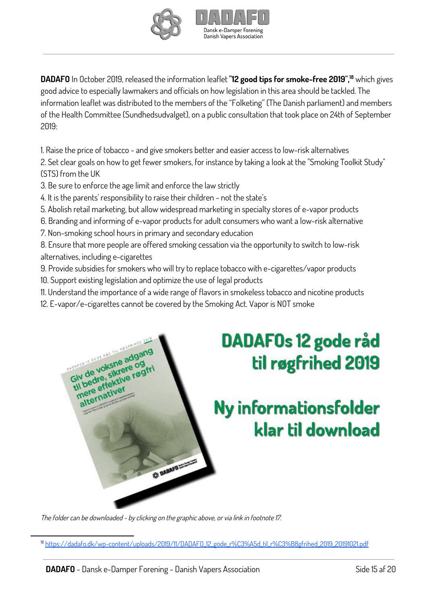



**DADAFO** In October 2019, released the information leaflet **"12 good tips for smoke-free 2019",** which gives **18** good advice to especially lawmakers and officials on how legislation in this area should be tackled. The information leaflet was distributed to the members of the "Folketing" (The Danish parliament) and members of the Health Committee (Sundhedsudvalget), on a public consultation that took place on 24th of September 2019:

1. Raise the price of tobacco - and give smokers better and easier access to low-risk alternatives

2. Set clear goals on how to get fewer smokers, for instance by taking a look at the "Smoking Toolkit Study" (STS) from the UK

3. Be sure to enforce the age limit and enforce the law strictly

4. It is the parents' responsibility to raise their children - not the state's

5. Abolish retail marketing, but allow widespread marketing in specialty stores of e-vapor products

- 6. Branding and informing of e-vapor products for adult consumers who want a low-risk alternative
- 7. Non-smoking school hours in primary and secondary education

8. Ensure that more people are offered smoking cessation via the opportunity to switch to low-risk alternatives, including e-cigarettes

- 9. Provide subsidies for smokers who will try to replace tobacco with e-cigarettes/vapor products
- 10. Support existing legislation and optimize the use of legal products

IS SODE AND THE ROO Giv de voksne adgang

- 11. Understand the importance of a wide range of flavors in smokeless tobacco and nicotine products
- 12. E-vapor/e-cigarettes cannot be covered by the Smoking Act. Vapor is NOT smoke



# Ny informationsfolder klar til download

The folder can be downloaded - by clicking on the graphic above, or via link in footnote 17.

\* DABAFO MARINE

<sup>18</sup> [https://dadafo.dk/wp-content/uploads/2019/11/DADAFO\\_12\\_gode\\_r%C3%A5d\\_til\\_r%C3%B8gfrihed\\_2019\\_20191021.pdf](https://dadafo.dk/wp-content/uploads/2019/11/DADAFO_12_gode_r%C3%A5d_til_r%C3%B8gfrihed_2019_20191021.pdf)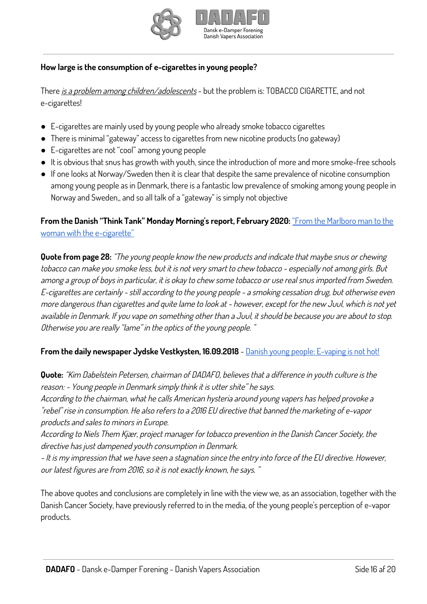



#### **How large is the consumption of e-cigarettes in young people?**

There is a problem among children/adolescents - but the problem is: TOBACCO CIGARETTE, and not e-cigarettes!

- E-cigarettes are mainly used by young people who already smoke tobacco cigarettes
- There is minimal "gateway" access to cigarettes from new nicotine products (no gateway)
- E-cigarettes are not "cool" among young people
- It is obvious that snus has growth with youth, since the introduction of more and more smoke-free schools
- If one looks at Norway/Sweden then it is clear that despite the same prevalence of nicotine consumption among young people as in Denmark, there is a fantastic low prevalence of smoking among young people in Norway and Sweden,, and so all talk of a "gateway" is simply not objective

**From the Danish "Think Tank" Monday Morning's report, February 2020:** "From the [Marlboro](https://www.mm.dk/misc/360%20grader%20rundt%20om%20Tobaksindustriens%20strategiskifte.pdf) man to the woman with the [e-cigarette"](https://www.mm.dk/misc/360%20grader%20rundt%20om%20Tobaksindustriens%20strategiskifte.pdf)

**Quote from page 28:** "The young people know the new products and indicate that maybe snus or chewing tobacco can make you smoke less, but it is not very smart to chew tobacco - especially not among girls. But among <sup>a</sup> group of boys in particular, it is okay to chew some tobacco or use real snus imported from Sweden. E-cigarettes are certainly - still according to the young people - <sup>a</sup> smoking cessation drug, but otherwise even more dangerous than cigarettes and quite lame to look at - however, except for the new Juul, which is not yet available in Denmark. If you vape on something other than <sup>a</sup> Juul, it should be because you are about to stop. Otherwise you are really "lame" in the optics of the young people. "

#### **From the daily newspaper Jydske Vestkysten, 16.09.2018** - Danish young people: [E-vaping](https://jv.dk/artikel/danske-unge-e-sm%C3%B8ger-er-yt-2018-9-16(6)) is not hot!

**Quote:** "Kim Dabelstein Petersen, chairman of DADAFO, believes that <sup>a</sup> difference in youth culture is the reason: - Young people in Denmark simply think it is utter shite" he says.

According to the chairman, what he calls American hysteria around young vapers has helped provoke <sup>a</sup> "rebel" rise in consumption. He also refers to <sup>a</sup> 2016 EU directive that banned the marketing of e-vapor products and sales to minors in Europe.

According to Niels Them Kjær, project manager for tobacco prevention in the Danish Cancer Society, the directive has just dampened youth consumption in Denmark.

- It is my impression that we have seen <sup>a</sup> stagnation since the entry into force of the EU directive. However, our latest figures are from 2016, so it is not exactly known, he says. "

The above quotes and conclusions are completely in line with the view we, as an association, together with the Danish Cancer Society, have previously referred to in the media, of the young people's perception of e-vapor products.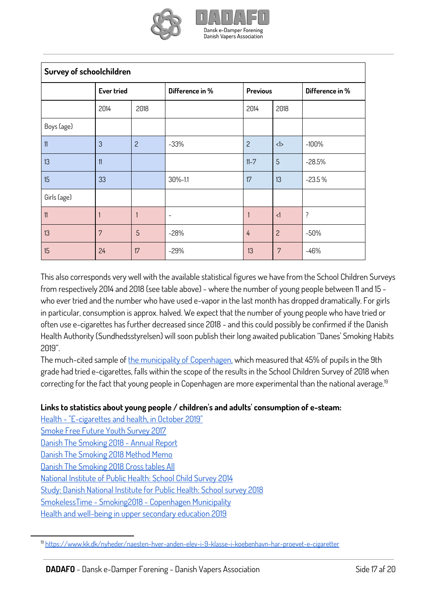

| Survey of schoolchildren |                   |                |                 |                 |                |                 |
|--------------------------|-------------------|----------------|-----------------|-----------------|----------------|-----------------|
|                          | <b>Ever tried</b> |                | Difference in % | <b>Previous</b> |                | Difference in % |
|                          | 2014              | 2018           |                 | 2014            | 2018           |                 |
| Boys (age)               |                   |                |                 |                 |                |                 |
| 11                       | 3                 | $\overline{c}$ | $-33%$          | $\overline{c}$  | <1>            | $-100%$         |
| 13                       | 11                |                |                 | $11 - 7$        | 5              | $-28.5%$        |
| 15                       | 33                |                | 30%-1.1         | 17              | 13             | $-23.5%$        |
| Girls (age)              |                   |                |                 |                 |                |                 |
| 11                       |                   | 1              |                 |                 | $\leq$ 1       | ?               |
| 13                       | 7                 | 5              | $-28%$          | 4               | $\overline{c}$ | $-50%$          |
| 15                       | 24                | 17             | $-29%$          | 13              | 7              | $-46%$          |

This also corresponds very well with the available statistical figures we have from the School Children Surveys from respectively 2014 and 2018 (see table above) - where the number of young people between 11 and 15 who ever tried and the number who have used e-vapor in the last month has dropped dramatically. For girls in particular, consumption is approx. halved. We expect that the number of young people who have tried or often use e-cigarettes has further decreased since 2018 - and this could possibly be confirmed if the Danish Health Authority (Sundhedsstyrelsen) will soon publish their long awaited publication "Danes' Smoking Habits 2019".

The much-cited sample of the municipality of [Copenhagen,](https://www.kk.dk/nyheder/naesten-hver-anden-elev-i-9-klasse-i-koebenhavn-har-proevet-e-cigaretter) which measured that 45% of pupils in the 9th grade had tried e-cigarettes, falls within the scope of the results in the School Children Survey of 2018 when correcting for the fact that young people in Copenhagen are more experimental than the national average. 19

#### **Links to statistics about young people / children's and adults' consumption of e-steam:**

Health - ["E-cigarettes](https://www.sst.dk/-/media/Udgivelser/2019/E-cigaretter/E-cigaretter-og-helbred-notat-okt-2019.ashx) and health, in October 2019" [Smoke](https://www.cancer.dk/dyn/resources/File/file/8/7438/1550743470/roegfri_ungeundersoegelse_2017_final-compressed.pdf) Free Future Youth Survey 2017 Danish The [Smoking](https://www.sst.dk/-/media/Udgivelser/2019/Danskernes-rygevaner---aarsrapport-2018) 2018 - Annual Report

Danish The [Smoking](https://www.sst.dk/-/media/Udgivelser/2019/Danskernes-rygevaner-2018/Metodenotat-rygevaner-2018.ashx?la=da&hash=0862C5619211EBB59BFB1C2311D9DD44A3FC159C) 2018 Method Memo

Danish The [Smoking](https://www.sst.dk/-/media/Udgivelser/2019/Danskernes-rygevaner-2018/Krydstabeller-alle-rygevaner-2018.ashx?la=da&hash=E6FD330C0C2B1837367D5E48B98335C0CC406467) 2018 Cross tables All

National [Institute](https://www.hbsc.dk/downcount/HBSC-Rapport-2014.pdf) of Public Health: School Child Survey 2014

Study: Danish National [Institute](https://www.hbsc.dk/rapport.php?file=HBSC-Rapport-2018.pdf) for Public Health: School survey 2018

[SmokelessTime](https://sundeborgere.dk/wp-content/uploads/2019/07/Ru00f8gfri-Skoletid-Rygevaneundersu00f8gelse-2018-Fu00f8r-mu00e5ling.pdf) - Smoking2018 - Copenhagen Municipality

Health and [well-being](https://www.sdu.dk/sif/-/media/images/sif/udgivelser/2019/rapport_ung19.pdf) in upper secondary education 2019

<sup>19</sup> <https://www.kk.dk/nyheder/naesten-hver-anden-elev-i-9-klasse-i-koebenhavn-har-proevet-e-cigaretter>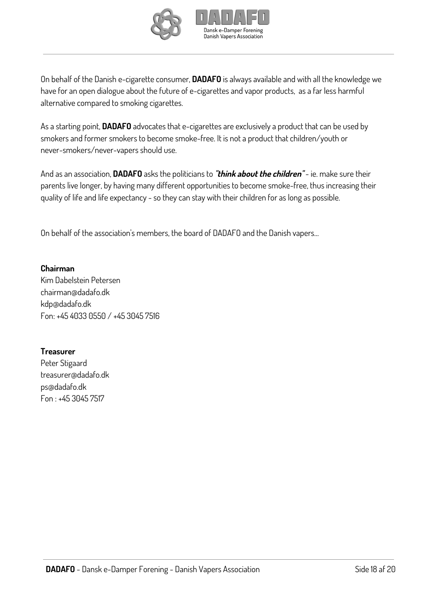



On behalf of the Danish e-cigarette consumer, **DADAFO** is always available and with all the knowledge we have for an open dialogue about the future of e-cigarettes and vapor products, as a far less harmful alternative compared to smoking cigarettes.

As a starting point, **DADAFO** advocates that e-cigarettes are exclusively a product that can be used by smokers and former smokers to become smoke-free. It is not a product that children/youth or never-smokers/never-vapers should use.

And as an association, **DADAFO** asks the politicians to **"think about the children"** - ie. make sure their parents live longer, by having many different opportunities to become smoke-free, thus increasing their quality of life and life expectancy - so they can stay with their children for as long as possible.

On behalf of the association's members, the board of DADAFO and the Danish vapers…

**Chairman** Kim Dabelstein Petersen chairman@dadafo.dk kdp@dadafo.dk Fon: +45 4033 0550 / +45 3045 7516

#### **Treasurer**

Peter Stigaard treasurer@dadafo.dk ps@dadafo.dk Fon : +45 3045 7517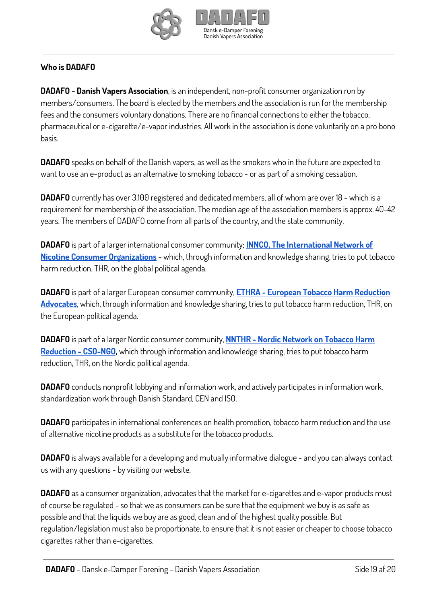



## **Who is DADAFO**

**DADAFO - Danish Vapers Association**, is an independent, non-profit consumer organization run by members/consumers. The board is elected by the members and the association is run for the membership fees and the consumers voluntary donations. There are no financial connections to either the tobacco, pharmaceutical or e-cigarette/e-vapor industries. All work in the association is done voluntarily on a pro bono basis.

**DADAFO** speaks on behalf of the Danish vapers, as well as the smokers who in the future are expected to want to use an e-product as an alternative to smoking tobacco - or as part of a smoking cessation.

**DADAFO** currently has over 3.100 registered and dedicated members, all of whom are over 18 - which is a requirement for membership of the association. The median age of the association members is approx. 40-42 years. The members of DADAFO come from all parts of the country, and the state community.

**DADAFO** is part of a larger international consumer community; **INNCO, The [International](https://innco.org/) Network of Nicotine Consumer [Organizations](https://innco.org/)** - which, through information and knowledge sharing, tries to put tobacco harm reduction, THR, on the global political agenda.

**DADAFO** is part of a larger European consumer community, **ETHRA - European Tobacco Harm [Reduction](https://www.ethra.co/) [Advocates](https://www.ethra.co/)**, which, through information and knowledge sharing, tries to put tobacco harm reduction, THR, on the European political agenda.

**DADAFO** is part of a larger Nordic consumer community, **NNTHR - Nordic [Network on](https://www.facebook.com/groups/1673998382649999/) Tobacco Harm [Reduction](https://www.facebook.com/groups/1673998382649999/) - CSO-NGO,** which through information and knowledge sharing, tries to put tobacco harm reduction, THR, on the Nordic political agenda.

**DADAFO** conducts nonprofit lobbying and information work, and actively participates in information work, standardization work through Danish Standard, CEN and ISO.

**DADAFO** participates in international conferences on health promotion, tobacco harm reduction and the use of alternative nicotine products as a substitute for the tobacco products.

**DADAFO** is always available for a developing and mutually informative dialogue - and you can always contact us with any questions - by visiting our website.

**DADAFO** as a consumer organization, advocates that the market for e-cigarettes and e-vapor products must of course be regulated - so that we as consumers can be sure that the equipment we buy is as safe as possible and that the liquids we buy are as good, clean and of the highest quality possible. But regulation/legislation must also be proportionate, to ensure that it is not easier or cheaper to choose tobacco cigarettes rather than e-cigarettes.